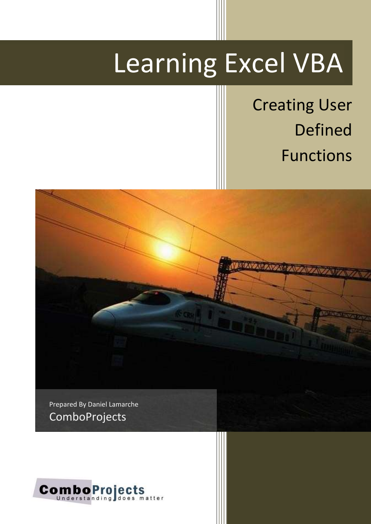# Learning Excel VBA

Creating User Defined Functions



Prepared By Daniel Lamarche **ComboProjects** 

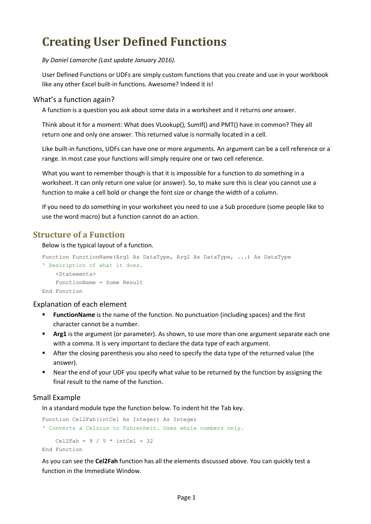# **Creating User Defined Functions**

*By Daniel Lamarche (Last update January 2016).*

User Defined Functions or UDFs are simply custom functions that you create and use in your workbook like any other Excel built-in functions. Awesome? Indeed it is!

#### What's a function again?

A function is a question you ask about some data in a worksheet and it returns *one* answer.

Think about it for a moment: What does VLookup(), SumIf() and PMT() have in common? They all return one and only one answer. This returned value is normally located in a cell.

Like built-in functions, UDFs can have one or more arguments. An argument can be a cell reference or a range. In most case your functions will simply require one or two cell reference.

What you want to remember though is that it is impossible for a function to *do* something in a worksheet. It can only return one value (or answer). So, to make sure this is clear you cannot use a function to make a cell bold or change the font size or change the width of a column.

If you need to *do* something in your worksheet you need to use a Sub procedure (some people like to use the word macro) but a function cannot do an action.

# **Structure of a Function**

Below is the typical layout of a function.

```
Function FunctionName(Arg1 As DataType, Arg2 As DataType, ...) As DataType
' Description of what it does.
    <Statements>
    FunctionName = Some Result
```
End Function

#### Explanation of each element

- **FunctionName** is the name of the function. No punctuation (including spaces) and the first character cannot be a number.
- **Arg1** is the argument (or parameter). As shown, to use more than one argument separate each one with a comma. It is very important to declare the data type of each argument.
- **After the closing parenthesis you also need to specify the data type of the returned value (the** answer).
- Near the end of your UDF you specify what value to be returned by the function by assigning the final result to the name of the function.

#### Small Example

In a standard module type the function below. To indent hit the Tab key.

```
Function Cel2Fah(intCel As Integer) As Integer
' Converts a Celsius to Fahrenheit. Uses whole numbers only.
   Cel2Fah = 9 / 5 * intCel + 32
End Function
```
As you can see the **Cel2Fah** function has all the elements discussed above. You can quickly test a function in the Immediate Window.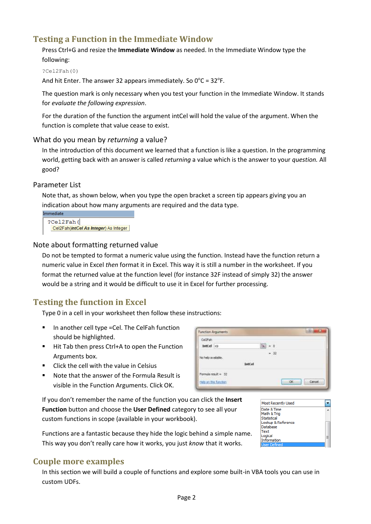# **Testing a Function in the Immediate Window**

Press Ctrl+G and resize the **Immediate Window** as needed. In the Immediate Window type the following:

?Cel2Fah(0)

And hit Enter. The answer 32 appears immediately. So  $0^{\circ}$ C = 32 $^{\circ}$ F.

The question mark is only necessary when you test your function in the Immediate Window. It stands for *evaluate the following expression*.

For the duration of the function the argument intCel will hold the value of the argument. When the function is complete that value cease to exist.

#### What do you mean by *returning* a value?

In the introduction of this document we learned that a function is like a question. In the programming world, getting back with an answer is called *returning* a value which is the answer to your *question.* All good?

#### Parameter List

Note that, as shown below, when you type the open bracket a screen tip appears giving you an indication about how many arguments are required and the data type.

```
Immediate
  ?Cel2Fah(
   Cel2Fah(intCel As Integer) As Integer
```
#### Note about formatting returned value

Do not be tempted to format a numeric value using the function. Instead have the function return a numeric value in Excel *then* format it in Excel. This way it is still a number in the worksheet. If you format the returned value at the function level (for instance 32F instead of simply 32) the answer would be a string and it would be difficult to use it in Excel for further processing.

# **Testing the function in Excel**

Type 0 in a cell in your worksheet then follow these instructions:

- In another cell type =Cel. The CelFah function should be highlighted.
- Hit Tab then press Ctrl+A to open the Function Arguments box.
- **EXECUTE:** Click the cell with the value in Celsius
- Note that the answer of the Formula Result is visible in the Function Arguments. Click OK.

If you don't remember the name of the function you can click the **Insert Function** button and choose the **User Defined** category to see all your custom functions in scope (available in your workbook).

Functions are a fantastic because they hide the logic behind a simple name. This way you don't really care how it works, you just *know* that it works.

# **Couple more examples**

In this section we will build a couple of functions and explore some built-in VBA tools you can use in custom UDFs.



| <b>Most Recently Used</b> |  |
|---------------------------|--|
| Date & Time               |  |
| Math & Trig               |  |
| Statistical               |  |
| Lookup & Reference        |  |
| Database                  |  |
| Text                      |  |
| Logical                   |  |
| Information               |  |
| Liser Defined             |  |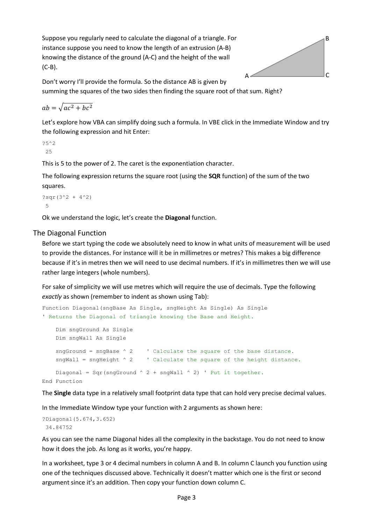Suppose you regularly need to calculate the diagonal of a triangle. For instance suppose you need to know the length of an extrusion (A-B) knowing the distance of the ground (A-C) and the height of the wall (C-B).



Don't worry I'll provide the formula. So the distance AB is given by summing the squares of the two sides then finding the square root of that sum. Right?

$$
ab = \sqrt{ac^2 + bc^2}
$$

Let's explore how VBA can simplify doing such a formula. In VBE click in the Immediate Window and try the following expression and hit Enter:

?5^2 25

This is 5 to the power of 2. The caret is the exponentiation character.

The following expression returns the square root (using the **SQR** function) of the sum of the two squares.

?sqr $(3^2 + 4^2)$ 5

Ok we understand the logic, let's create the **Diagonal** function.

#### The Diagonal Function

Before we start typing the code we absolutely need to know in what units of measurement will be used to provide the distances. For instance will it be in millimetres or metres? This makes a big difference because if it's in metres then we will need to use decimal numbers. If it's in millimetres then we will use rather large integers (whole numbers).

For sake of simplicity we will use metres which will require the use of decimals. Type the following *exactly* as shown (remember to indent as shown using Tab):

```
Function Diagonal(sngBase As Single, sngHeight As Single) As Single
' Returns the Diagonal of triangle knowing the Base and Height.
     Dim sngGround As Single
    Dim sngWall As Single
    sngGround = sngBase \land 2 \qquad ' Calculate the square of the base distance.
    sngWall = sngHeight ^ 2 ' Calculate the square of the height distance.
    Diagonal = Sqr(sngGround \land 2 + sngWall \land 2) ' Put it together.
End Function
```
The **Single** data type in a relatively small footprint data type that can hold very precise decimal values.

In the Immediate Window type your function with 2 arguments as shown here:

```
?Diagonal(5.674,3.652)
34.84752
```
As you can see the name Diagonal hides all the complexity in the backstage. You do not need to know how it does the job. As long as it works, you're happy.

In a worksheet, type 3 or 4 decimal numbers in column A and B. In column C launch you function using one of the techniques discussed above. Technically it doesn't matter which one is the first or second argument since it's an addition. Then copy your function down column C.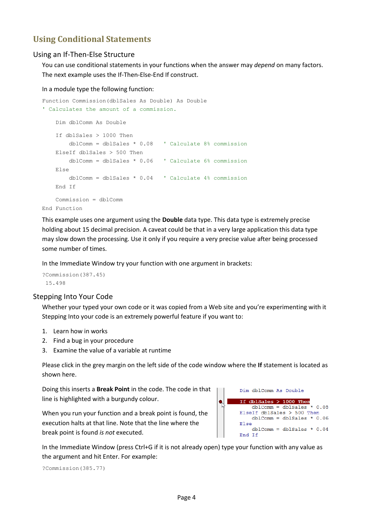# **Using Conditional Statements**

#### Using an If-Then-Else Structure

You can use conditional statements in your functions when the answer may *depend* on many factors. The next example uses the If-Then-Else-End If construct.

#### In a module type the following function:

```
Function Commission(dblSales As Double) As Double
' Calculates the amount of a commission.
    Dim dblComm As Double
    If dblSales > 1000 Then
        dblComm = dblSales * 0.08 ' Calculate 8% commission
    ElseIf dblSales > 500 Then
        dblComm = dblSales * 0.06 ' Calculate 6% commission
    Else
        dblComm = dblSales * 0.04 ' Calculate 4% commission
    End If
    Commission = dblComm
End Function
```
This example uses one argument using the **Double** data type. This data type is extremely precise holding about 15 decimal precision. A caveat could be that in a very large application this data type may slow down the processing. Use it only if you require a very precise value after being processed some number of times.

In the Immediate Window try your function with one argument in brackets:

?Commission(387.45) 15.498

#### Stepping Into Your Code

Whether your typed your own code or it was copied from a Web site and you're experimenting with it Stepping Into your code is an extremely powerful feature if you want to:

- 1. Learn how in works
- 2. Find a bug in your procedure
- 3. Examine the value of a variable at runtime

Please click in the grey margin on the left side of the code window where the **If** statement is located as shown here.

Doing this inserts a **Break Point** in the code. The code in that line is highlighted with a burgundy colour.

When you run your function and a break point is found, the execution halts at that line. Note that the line where the break point is found *is not* executed.

Dim dblComm As Double If dblSales  $> 1000$  Then  $\bullet$  $db1Comm = db1Sales * 0.08$ ElseIf dblSales > 500 Then dblComm = dblSales  $* 0.06$ Else dblComm = dblSales \*  $0.04$ End If

In the Immediate Window (press Ctrl+G if it is not already open) type your function with any value as the argument and hit Enter. For example:

?Commission(385.77)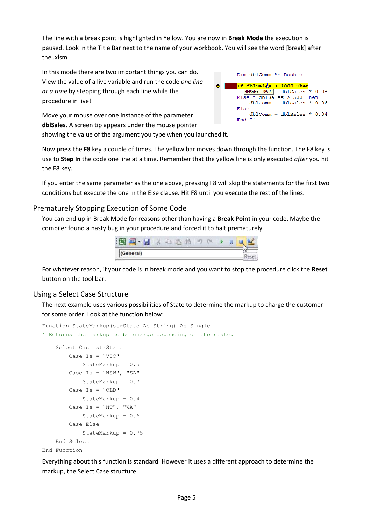The line with a break point is highlighted in Yellow. You are now in **Break Mode** the execution is paused. Look in the Title Bar next to the name of your workbook. You will see the word [break] after the .xlsm

ò

In this mode there are two important things you can do. View the value of a live variable and run the code *one line at a time* by stepping through each line while the procedure in live!

Dim dblComm As Double If dblSales > 1000 Then  $\boxed{\text{db}$ Sales = 385.77 = dblSales \* 0.08 ElseIf dblSales > 500 Then dblComm = dblSales \*  $0.06$ Else  $db1Comm = db1Sales * 0.04$ End If

Move your mouse over one instance of the parameter **dblSales.** A screen tip appears under the mouse pointer showing the value of the argument you type when you launched it.

Now press the **F8** key a couple of times. The yellow bar moves down through the function. The F8 key is use to **Step In** the code one line at a time. Remember that the yellow line is only executed *after* you hit the F8 key.

If you enter the same parameter as the one above, pressing F8 will skip the statements for the first two conditions but execute the one in the Else clause. Hit F8 until you execute the rest of the lines.

#### Prematurely Stopping Execution of Some Code

You can end up in Break Mode for reasons other than having a **Break Point** in your code. Maybe the compiler found a nasty bug in your procedure and forced it to halt prematurely.



For whatever reason, if your code is in break mode and you want to stop the procedure click the **Reset** button on the tool bar.

#### Using a Select Case Structure

The next example uses various possibilities of State to determine the markup to charge the customer for some order. Look at the function below:

```
Function StateMarkup(strState As String) As Single
' Returns the markup to be charge depending on the state.
     Select Case strState
        Case Is = "VIC" StateMarkup = 0.5
         Case Is = "NSW", "SA"
             StateMarkup = 0.7
        Case Is = "QLD" StateMarkup = 0.4
        Case Is = "NT", "WA" StateMarkup = 0.6
         Case Else
             StateMarkup = 0.75
     End Select
End Function
```
Everything about this function is standard. However it uses a different approach to determine the markup, the Select Case structure.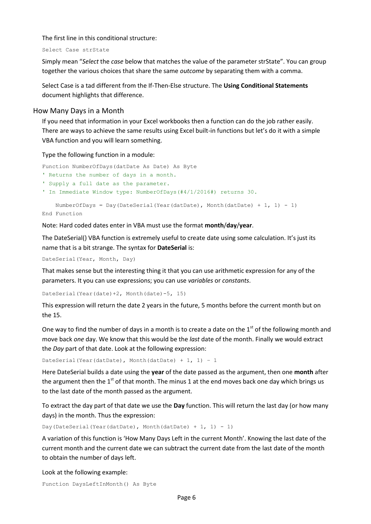The first line in this conditional structure:

Select Case strState

Simply mean "*Select* the *case* below that matches the value of the parameter strState". You can group together the various choices that share the same *outcome* by separating them with a comma.

Select Case is a tad different from the If-Then-Else structure. The **Using Conditional Statements** document highlights that difference.

#### How Many Days in a Month

If you need that information in your Excel workbooks then a function can do the job rather easily. There are ways to achieve the same results using Excel built-in functions but let's do it with a simple VBA function and you will learn something.

Type the following function in a module:

```
Function NumberOfDays(datDate As Date) As Byte
' Returns the number of days in a month.
' Supply a full date as the parameter.
' In Immediate Window type: NumberOfDays(#4/1/2016#) returns 30.
   NumberOfDays = Day(DateSerial(Year(datDate), Month(datDate) + 1, 1) - 1)
```
End Function

Note: Hard coded dates enter in VBA must use the format **month**/**day**/**year**.

The DateSerial() VBA function is extremely useful to create date using some calculation. It's just its name that is a bit strange. The syntax for **DateSerial** is:

DateSerial(Year, Month, Day)

That makes sense but the interesting thing it that you can use arithmetic expression for any of the parameters. It you can use expressions; you can use *variables* or *constants*.

DateSerial(Year(date)+2, Month(date)-5, 15)

This expression will return the date 2 years in the future, 5 months before the current month but on the 15.

One way to find the number of days in a month is to create a date on the  $1<sup>st</sup>$  of the following month and move back *one* day. We know that this would be the *last* date of the month. Finally we would extract the *Day* part of that date. Look at the following expression:

DateSerial(Year(datDate), Month(datDate) + 1, 1) - 1

Here DateSerial builds a date using the **year** of the date passed as the argument, then one **month** after the argument then the  $1<sup>st</sup>$  of that month. The minus 1 at the end moves back one day which brings us to the last date of the month passed as the argument.

To extract the day part of that date we use the **Day** function. This will return the last day (or how many days) in the month. Thus the expression:

Day(DateSerial(Year(datDate), Month(datDate) + 1, 1) - 1)

A variation of this function is 'How Many Days Left in the current Month'. Knowing the last date of the current month and the current date we can subtract the current date from the last date of the month to obtain the number of days left.

Look at the following example:

Function DaysLeftInMonth() As Byte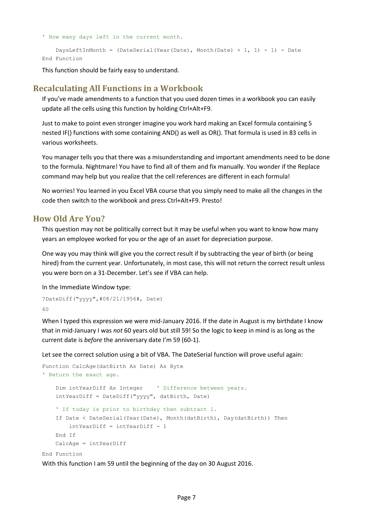' How many days left in the current month.

```
DaysLeftInMonth = (DateSerial(Year(Date), Month(Date) + 1, 1) - 1) - Date
End Function
```
This function should be fairly easy to understand.

#### **Recalculating All Functions in a Workbook**

If you've made amendments to a function that you used dozen times in a workbook you can easily update all the cells using this function by holding Ctrl+Alt+F9.

Just to make to point even stronger imagine you work hard making an Excel formula containing 5 nested IF() functions with some containing AND() as well as OR(). That formula is used in 83 cells in various worksheets.

You manager tells you that there was a misunderstanding and important amendments need to be done to the formula. Nightmare! You have to find all of them and fix manually. You wonder if the Replace command may help but you realize that the cell references are different in each formula!

No worries! You learned in you Excel VBA course that you simply need to make all the changes in the code then switch to the workbook and press Ctrl+Alt+F9. Presto!

#### **How Old Are You?**

This question may not be politically correct but it may be useful when you want to know how many years an employee worked for you or the age of an asset for depreciation purpose.

One way you may think will give you the correct result if by subtracting the year of birth (or being hired) from the current year. Unfortunately, in most case, this will not return the correct result unless you were born on a 31-December. Let's see if VBA can help.

In the Immediate Window type:

```
?DateDiff("yyyy",#08/21/1956#, Date)
60
```
When I typed this expression we were mid-January 2016. If the date in August is my birthdate I know that in mid-January I was *not* 60 years old but still 59! So the logic to keep in mind is as long as the current date is *before* the anniversary date I'm 59 (60-1).

Let see the correct solution using a bit of VBA. The DateSerial function will prove useful again:

```
Function CalcAge(datBirth As Date) As Byte
' Return the exact age.
     Dim intYearDiff As Integer ' Difference between years.
    intYearDiff = DateDiff("yyyy", datBirth, Date) 
     ' If today is prior to birthday then subtract 1.
     If Date < DateSerial(Year(Date), Month(datBirth), Day(datBirth)) Then
         intYearDiff = intYearDiff - 1
    End If
    CalcAge = intYearDiff
```
End Function

With this function I am 59 until the beginning of the day on 30 August 2016.